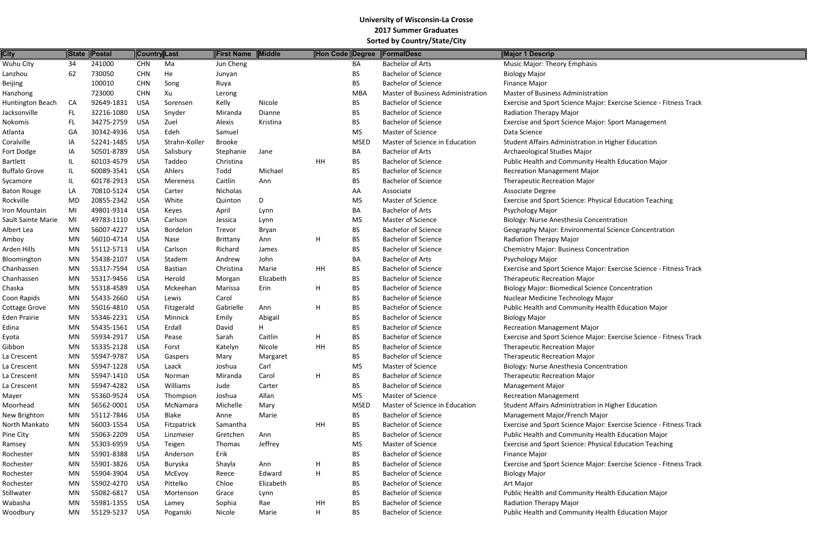| <b>City</b>          |           | State Postal             |            | Country Last    | <b>First Name</b> | Middle    | Hon Code Degree |             | FormalDesc                        | Major 1 Descrip                                           |
|----------------------|-----------|--------------------------|------------|-----------------|-------------------|-----------|-----------------|-------------|-----------------------------------|-----------------------------------------------------------|
| Wuhu City            | 34        | 241000                   | <b>CHN</b> | Ma              | Jun Cheng         |           |                 | BA          | <b>Bachelor of Arts</b>           | Music Major: Theory Emphasis                              |
| Lanzhou              | 62        | 730050                   | <b>CHN</b> | He              | Junyan            |           |                 | <b>BS</b>   | <b>Bachelor of Science</b>        | <b>Biology Major</b>                                      |
| Beijing              |           | 100010                   | <b>CHN</b> | Song            | Ruya              |           |                 | <b>BS</b>   | <b>Bachelor of Science</b>        | <b>Finance Major</b>                                      |
| Hanzhong             |           | 723000                   | <b>CHN</b> | Xu              | Lerong            |           |                 | <b>MBA</b>  | Master of Business Administration | Master of Business Administration                         |
| Huntington Beach     | CA        | 92649-1831               | <b>USA</b> | Sorensen        | Kelly             | Nicole    |                 | <b>BS</b>   | <b>Bachelor of Science</b>        | Exercise and Sport Science Major: Exercise Science - Fitn |
| Jacksonville         | FL.       | 32216-1080               | <b>USA</b> | Snyder          | Miranda           | Dianne    |                 | <b>BS</b>   | <b>Bachelor of Science</b>        | Radiation Therapy Major                                   |
| Nokomis              | FL        | 34275-2759               | <b>USA</b> | Zuel            | Alexis            | Kristina  |                 | <b>BS</b>   | <b>Bachelor of Science</b>        | <b>Exercise and Sport Science Major: Sport Management</b> |
| Atlanta              | GA        | 30342-4936               | <b>USA</b> | Edeh            | Samuel            |           |                 | <b>MS</b>   | <b>Master of Science</b>          | Data Science                                              |
| Coralville           | IA        | 52241-1485               | <b>USA</b> | Strahn-Koller   | <b>Brooke</b>     |           |                 | <b>MSED</b> | Master of Science in Education    | Student Affairs Administration in Higher Education        |
| Fort Dodge           | IA        | 50501-8789               | <b>USA</b> | Salisbury       | Stephanie         | Jane      |                 | BA          | <b>Bachelor of Arts</b>           | Archaeological Studies Major                              |
| Bartlett             | IL        | 60103-4579               | <b>USA</b> | Taddeo          | Christina         |           | HH              | <b>BS</b>   | <b>Bachelor of Science</b>        | Public Health and Community Health Education Major        |
| <b>Buffalo Grove</b> | IL        | 60089-3541               | <b>USA</b> | Ahlers          | Todd              | Michael   |                 | <b>BS</b>   | <b>Bachelor of Science</b>        | <b>Recreation Management Major</b>                        |
| Sycamore             | IL        | 60178-2913               | <b>USA</b> | Mereness        | Caitlin           | Ann       |                 | <b>BS</b>   | <b>Bachelor of Science</b>        | <b>Therapeutic Recreation Major</b>                       |
| <b>Baton Rouge</b>   | LA        | 70810-5124               | <b>USA</b> | Carter          | Nicholas          |           |                 | AA          | Associate                         | <b>Associate Degree</b>                                   |
| Rockville            | MD        | 20855-2342               | <b>USA</b> | White           | Quinton           | D         |                 | MS          | <b>Master of Science</b>          | Exercise and Sport Science: Physical Education Teaching   |
| Iron Mountain        | MI        | 49801-9314               | <b>USA</b> | Keyes           | April             | Lynn      |                 | BA          | <b>Bachelor of Arts</b>           | Psychology Major                                          |
| Sault Sainte Marie   | MI        | 49783-1110               | <b>USA</b> | Carlson         | Jessica           | Lynn      |                 | MS          | Master of Science                 | <b>Biology: Nurse Anesthesia Concentration</b>            |
| Albert Lea           | MN        | 56007-4227               | <b>USA</b> | <b>Bordelon</b> | Trevor            | Bryan     |                 | <b>BS</b>   | <b>Bachelor of Science</b>        | Geography Major: Environmental Science Concentration      |
| Amboy                | MN        | 56010-4714               | <b>USA</b> | Nase            | <b>Brittany</b>   | Ann       | н               | <b>BS</b>   | <b>Bachelor of Science</b>        | Radiation Therapy Major                                   |
| Arden Hills          | MN        | 55112-5713               | <b>USA</b> | Carlson         | Richard           | James     |                 | <b>BS</b>   | <b>Bachelor of Science</b>        | <b>Chemistry Major: Business Concentration</b>            |
| Bloomington          | MN        | 55438-2107               | <b>USA</b> | Stadem          | Andrew            | John      |                 | BA          | <b>Bachelor of Arts</b>           | Psychology Major                                          |
| Chanhassen           | MN        | 55317-7594               | <b>USA</b> | <b>Bastian</b>  | Christina         | Marie     | HH              | <b>BS</b>   | <b>Bachelor of Science</b>        | Exercise and Sport Science Major: Exercise Science - Fitn |
| Chanhassen           | MN        | 55317-9456               | <b>USA</b> | Herold          |                   | Elizabeth |                 | <b>BS</b>   | <b>Bachelor of Science</b>        | <b>Therapeutic Recreation Major</b>                       |
|                      |           | 55318-4589               |            | Mckeehan        | Morgan            | Erin      |                 | <b>BS</b>   | <b>Bachelor of Science</b>        |                                                           |
| Chaska               | MN        |                          | <b>USA</b> |                 | Marissa           |           | н               |             |                                   | <b>Biology Major: Biomedical Science Concentration</b>    |
| Coon Rapids          | MN        | 55433-2660               | <b>USA</b> | Lewis           | Carol             |           |                 | <b>BS</b>   | <b>Bachelor of Science</b>        | Nuclear Medicine Technology Major                         |
| Cottage Grove        | MN        | 55016-4810<br>55346-2231 | <b>USA</b> | Fitzgerald      | Gabrielle         | Ann       | Н               | <b>BS</b>   | <b>Bachelor of Science</b>        | Public Health and Community Health Education Major        |
| <b>Eden Prairie</b>  | MN        |                          | <b>USA</b> | Minnick         | Emily             | Abigail   |                 | <b>BS</b>   | <b>Bachelor of Science</b>        | <b>Biology Major</b>                                      |
| Edina                | MN        | 55435-1561               | <b>USA</b> | Erdall          | David             | H.        |                 | <b>BS</b>   | <b>Bachelor of Science</b>        | <b>Recreation Management Major</b>                        |
| Eyota                | MN        | 55934-2917               | <b>USA</b> | Pease           | Sarah             | Caitlin   | н               | <b>BS</b>   | <b>Bachelor of Science</b>        | Exercise and Sport Science Major: Exercise Science - Fitn |
| Gibbon               | MN        | 55335-2128               | <b>USA</b> | Forst           | Katelyn           | Nicole    | HH              | <b>BS</b>   | <b>Bachelor of Science</b>        | <b>Therapeutic Recreation Major</b>                       |
| La Crescent          | MN        | 55947-9787               | <b>USA</b> | Gaspers         | Mary              | Margaret  |                 | <b>BS</b>   | <b>Bachelor of Science</b>        | <b>Therapeutic Recreation Major</b>                       |
| La Crescent          | MN        | 55947-1228               | <b>USA</b> | Laack           | Joshua            | Carl      |                 | MS.         | Master of Science                 | Biology: Nurse Anesthesia Concentration                   |
| La Crescent          | MN        | 55947-1410               | <b>USA</b> | Norman          | Miranda           | Carol     | Н               | <b>BS</b>   | <b>Bachelor of Science</b>        | <b>Therapeutic Recreation Major</b>                       |
| La Crescent          | <b>MN</b> | 55947-4282               | <b>USA</b> | Williams        | Jude              | Carter    |                 | <b>BS</b>   | <b>Bachelor of Science</b>        | <b>Management Major</b>                                   |
| Mayer                | MN        | 55360-9524               | <b>USA</b> | Thompson        | Joshua            | Allan     |                 | MS          | Master of Science                 | <b>Recreation Management</b>                              |
| Moorhead             | MN        | 56562-0001               | <b>USA</b> | McNamara        | Michelle          | Mary      |                 | <b>MSED</b> | Master of Science in Education    | Student Affairs Administration in Higher Education        |
| New Brighton         | MN        | 55112-7846               | <b>USA</b> | Blake           | Anne              | Marie     |                 | <b>BS</b>   | <b>Bachelor of Science</b>        | Management Major/French Major                             |
| North Mankato        | MN        | 56003-1554               | <b>USA</b> | Fitzpatrick     | Samantha          |           | HH              | <b>BS</b>   | <b>Bachelor of Science</b>        | Exercise and Sport Science Major: Exercise Science - Fitn |
| Pine City            | MN        | 55063-2209               | <b>USA</b> | Linzmeier       | Gretchen          | Ann       |                 | <b>BS</b>   | <b>Bachelor of Science</b>        | Public Health and Community Health Education Major        |
| Ramsey               | MN        | 55303-6959               | <b>USA</b> | Teigen          | Thomas            | Jeffrey   |                 | MS          | Master of Science                 | Exercise and Sport Science: Physical Education Teaching   |
| Rochester            | MN        | 55901-8388               | <b>USA</b> | Anderson        | Erik              |           |                 | <b>BS</b>   | <b>Bachelor of Science</b>        | <b>Finance Major</b>                                      |
| Rochester            | MN        | 55901-3826               | <b>USA</b> | Buryska         | Shayla            | Ann       | н               | <b>BS</b>   | <b>Bachelor of Science</b>        | Exercise and Sport Science Major: Exercise Science - Fitn |
| Rochester            | MN        | 55904-3904               | <b>USA</b> | McEvoy          | Reece             | Edward    | Н               | <b>BS</b>   | <b>Bachelor of Science</b>        | <b>Biology Major</b>                                      |
| Rochester            | MN        | 55902-4270               | <b>USA</b> | Pittelko        | Chloe             | Elizabeth |                 | <b>BS</b>   | <b>Bachelor of Science</b>        | Art Major                                                 |
| Stillwater           | MN        | 55082-6817               | <b>USA</b> | Mortenson       | Grace             | Lynn      |                 | <b>BS</b>   | <b>Bachelor of Science</b>        | Public Health and Community Health Education Major        |
| Wabasha              | ΜN        | 55981-1355               | <b>USA</b> | Lamey           | Sophia            | Rae       | HH              | <b>BS</b>   | <b>Bachelor of Science</b>        | Radiation Therapy Major                                   |
| Woodbury             | <b>MN</b> | 55129-5237               | <b>USA</b> | Poganski        | Nicole            | Marie     | H.              | <b>BS</b>   | <b>Bachelor of Science</b>        | Public Health and Community Health Education Major        |

Exercise Science - Fitness Track

Exercise Science - Fitness Track

Exercise Science - Fitness Track

Exercise Science - Fitness Track

Exercise Science - Fitness Track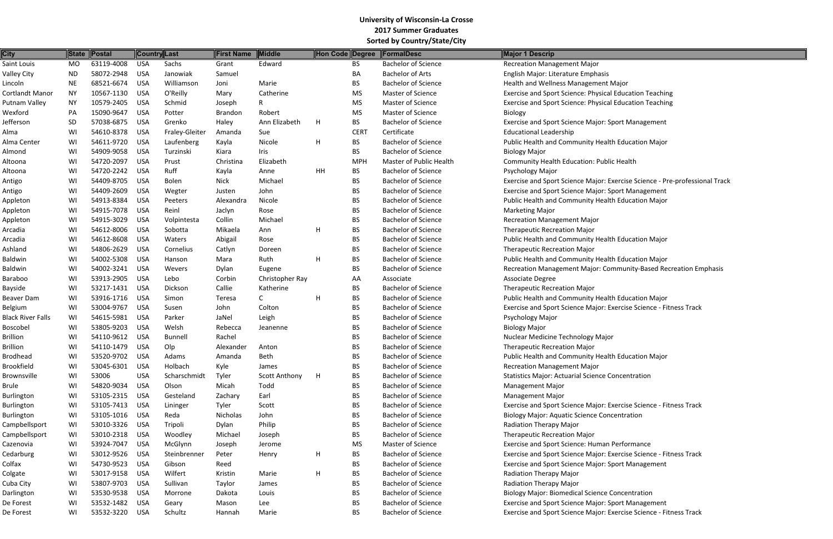| <b>City</b>              | State     | <b>Postal</b> | <b>Country</b> Last |                | <b>First Name</b> | Middle          | Hon Code Degree |             | <b>FormalDesc</b>          | <b>Major 1 Descrip</b>                                    |
|--------------------------|-----------|---------------|---------------------|----------------|-------------------|-----------------|-----------------|-------------|----------------------------|-----------------------------------------------------------|
| Saint Louis              | <b>MO</b> | 63119-4008    | <b>USA</b>          | Sachs          | Grant             | Edward          |                 | <b>BS</b>   | <b>Bachelor of Science</b> | <b>Recreation Management Major</b>                        |
| <b>Valley City</b>       | <b>ND</b> | 58072-2948    | <b>USA</b>          | Janowiak       | Samuel            |                 |                 | BA          | <b>Bachelor of Arts</b>    | English Major: Literature Emphasis                        |
| Lincoln                  | <b>NE</b> | 68521-6674    | <b>USA</b>          | Williamson     | Joni              | Marie           |                 | <b>BS</b>   | <b>Bachelor of Science</b> | Health and Wellness Management Major                      |
| <b>Cortlandt Manor</b>   | <b>NY</b> | 10567-1130    | <b>USA</b>          | O'Reilly       | Mary              | Catherine       |                 | MS          | <b>Master of Science</b>   | Exercise and Sport Science: Physical Education Teaching   |
| <b>Putnam Valley</b>     | <b>NY</b> | 10579-2405    | <b>USA</b>          | Schmid         | Joseph            | R.              |                 | <b>MS</b>   | <b>Master of Science</b>   | Exercise and Sport Science: Physical Education Teaching   |
| Wexford                  | PA        | 15090-9647    | <b>USA</b>          | Potter         | <b>Brandon</b>    | Robert          |                 | MS          | Master of Science          | Biology                                                   |
| Jefferson                | SD        | 57038-6875    | <b>USA</b>          | Grenko         | Haley             | Ann Elizabeth   | H               | <b>BS</b>   | <b>Bachelor of Science</b> | <b>Exercise and Sport Science Major: Sport Management</b> |
| Alma                     | WI        | 54610-8378    | <b>USA</b>          | Fraley-Gleiter | Amanda            | Sue             |                 | <b>CERT</b> | Certificate                | <b>Educational Leadership</b>                             |
| Alma Center              | WI        | 54611-9720    | <b>USA</b>          | Laufenberg     | Kayla             | Nicole          | H               | <b>BS</b>   | <b>Bachelor of Science</b> | Public Health and Community Health Education Major        |
| Almond                   | WI        | 54909-9058    | <b>USA</b>          | Turzinski      | Kiara             | Iris            |                 | <b>BS</b>   | <b>Bachelor of Science</b> | <b>Biology Major</b>                                      |
| Altoona                  | WI        | 54720-2097    | <b>USA</b>          | Prust          | Christina         | Elizabeth       |                 | <b>MPH</b>  | Master of Public Health    | <b>Community Health Education: Public Health</b>          |
| Altoona                  | WI        | 54720-2242    | <b>USA</b>          | Ruff           | Kayla             | Anne            | HH              | <b>BS</b>   | <b>Bachelor of Science</b> | Psychology Major                                          |
| Antigo                   | WI        | 54409-8705    | <b>USA</b>          | <b>Bolen</b>   | <b>Nick</b>       | Michael         |                 | <b>BS</b>   | <b>Bachelor of Science</b> | Exercise and Sport Science Major: Exercise Science - Pre  |
| Antigo                   | WI        | 54409-2609    | <b>USA</b>          | Wegter         | Justen            | John            |                 | <b>BS</b>   | <b>Bachelor of Science</b> | Exercise and Sport Science Major: Sport Management        |
| Appleton                 | WI        | 54913-8384    | <b>USA</b>          | Peeters        | Alexandra         | Nicole          |                 | <b>BS</b>   | <b>Bachelor of Science</b> | Public Health and Community Health Education Major        |
| Appleton                 | WI        | 54915-7078    | <b>USA</b>          | Reinl          | Jaclyn            | Rose            |                 | <b>BS</b>   | <b>Bachelor of Science</b> | <b>Marketing Major</b>                                    |
| Appleton                 | WI        | 54915-3029    | <b>USA</b>          | Volpintesta    | Collin            | Michael         |                 | <b>BS</b>   | <b>Bachelor of Science</b> | <b>Recreation Management Major</b>                        |
| Arcadia                  | WI        | 54612-8006    | <b>USA</b>          | Sobotta        | Mikaela           | Ann             | H               | <b>BS</b>   | <b>Bachelor of Science</b> | <b>Therapeutic Recreation Major</b>                       |
| Arcadia                  | WI        | 54612-8608    | <b>USA</b>          | Waters         | Abigail           | Rose            |                 | <b>BS</b>   | <b>Bachelor of Science</b> | Public Health and Community Health Education Major        |
| Ashland                  | WI        | 54806-2629    | <b>USA</b>          | Cornelius      | Catlyn            | Doreen          |                 | <b>BS</b>   | <b>Bachelor of Science</b> | <b>Therapeutic Recreation Major</b>                       |
| <b>Baldwin</b>           | WI        | 54002-5308    | <b>USA</b>          | Hanson         | Mara              | Ruth            | H               | <b>BS</b>   | <b>Bachelor of Science</b> | Public Health and Community Health Education Major        |
| <b>Baldwin</b>           | WI        | 54002-3241    | <b>USA</b>          | Wevers         | Dylan             | Eugene          |                 | <b>BS</b>   | <b>Bachelor of Science</b> | Recreation Management Major: Community-Based Reci         |
| <b>Baraboo</b>           | WI        | 53913-2905    | <b>USA</b>          | Lebo           | Corbin            | Christopher Ray |                 | AA          | Associate                  | Associate Degree                                          |
| <b>Bayside</b>           | WI        | 53217-1431    | <b>USA</b>          | Dickson        | Callie            | Katherine       |                 | <b>BS</b>   | <b>Bachelor of Science</b> | <b>Therapeutic Recreation Major</b>                       |
| Beaver Dam               | WI        | 53916-1716    | <b>USA</b>          | Simon          | Teresa            | C               | H               | <b>BS</b>   | <b>Bachelor of Science</b> | Public Health and Community Health Education Major        |
| Belgium                  | WI        | 53004-9767    | <b>USA</b>          | Susen          | John              | Colton          |                 | <b>BS</b>   | <b>Bachelor of Science</b> | Exercise and Sport Science Major: Exercise Science - Fitr |
| <b>Black River Falls</b> | WI        | 54615-5981    | <b>USA</b>          | Parker         | JaNel             | Leigh           |                 | <b>BS</b>   | <b>Bachelor of Science</b> | Psychology Major                                          |
| Boscobel                 | WI        | 53805-9203    | <b>USA</b>          | Welsh          | Rebecca           | Jeanenne        |                 | <b>BS</b>   | <b>Bachelor of Science</b> |                                                           |
| <b>Brillion</b>          | WI        | 54110-9612    | <b>USA</b>          | <b>Bunnell</b> | Rachel            |                 |                 | <b>BS</b>   | <b>Bachelor of Science</b> | <b>Biology Major</b><br>Nuclear Medicine Technology Major |
| <b>Brillion</b>          | WI        | 54110-1479    | <b>USA</b>          | Olp            |                   |                 |                 | <b>BS</b>   | <b>Bachelor of Science</b> |                                                           |
| <b>Brodhead</b>          | WI        | 53520-9702    | <b>USA</b>          | Adams          | Alexander         | Anton<br>Beth   |                 |             | <b>Bachelor of Science</b> | <b>Therapeutic Recreation Major</b>                       |
|                          |           |               |                     |                | Amanda            |                 |                 | <b>BS</b>   |                            | Public Health and Community Health Education Major        |
| <b>Brookfield</b>        | WI        | 53045-6301    | <b>USA</b>          | Holbach        | Kyle              | James           |                 | <b>BS</b>   | <b>Bachelor of Science</b> | <b>Recreation Management Major</b>                        |
| <b>Brownsville</b>       | WI        | 53006         | <b>USA</b>          | Scharschmidt   | Tyler             | Scott Anthony   | H               | <b>BS</b>   | <b>Bachelor of Science</b> | <b>Statistics Major: Actuarial Science Concentration</b>  |
| <b>Brule</b>             | WI        | 54820-9034    | <b>USA</b>          | Olson          | Micah             | Todd            |                 | <b>BS</b>   | <b>Bachelor of Science</b> | <b>Management Major</b>                                   |
| <b>Burlington</b>        | WI        | 53105-2315    | <b>USA</b>          | Gesteland      | Zachary           | Earl            |                 | <b>BS</b>   | <b>Bachelor of Science</b> | <b>Management Major</b>                                   |
| Burlington               | WI        | 53105-7413    | <b>USA</b>          | Lininger       | Tyler             | Scott           |                 | <b>BS</b>   | <b>Bachelor of Science</b> | Exercise and Sport Science Major: Exercise Science - Fitr |
| Burlington               | WI        | 53105-1016    | <b>USA</b>          | Reda           | Nicholas          | John            |                 | <b>BS</b>   | <b>Bachelor of Science</b> | <b>Biology Major: Aquatic Science Concentration</b>       |
| Campbellsport            | WI        | 53010-3326    | <b>USA</b>          | Tripoli        | Dylan             | Philip          |                 | <b>BS</b>   | <b>Bachelor of Science</b> | Radiation Therapy Major                                   |
| Campbellsport            | WI        | 53010-2318    | <b>USA</b>          | Woodley        | Michael           | Joseph          |                 | <b>BS</b>   | <b>Bachelor of Science</b> | <b>Therapeutic Recreation Major</b>                       |
| Cazenovia                | WI        | 53924-7047    | <b>USA</b>          | McGlynn        | Joseph            | Jerome          |                 | MS          | Master of Science          | Exercise and Sport Science: Human Performance             |
| Cedarburg                | WI        | 53012-9526    | <b>USA</b>          | Steinbrenner   | Peter             | Henry           | H               | <b>BS</b>   | <b>Bachelor of Science</b> | Exercise and Sport Science Major: Exercise Science - Fitr |
| Colfax                   | WI        | 54730-9523    | <b>USA</b>          | Gibson         | Reed              |                 |                 | <b>BS</b>   | <b>Bachelor of Science</b> | Exercise and Sport Science Major: Sport Management        |
| Colgate                  | WI        | 53017-9158    | <b>USA</b>          | Wilfert        | Kristin           | Marie           | H               | <b>BS</b>   | <b>Bachelor of Science</b> | Radiation Therapy Major                                   |
| Cuba City                | WI        | 53807-9703    | <b>USA</b>          | Sullivan       | Taylor            | James           |                 | <b>BS</b>   | <b>Bachelor of Science</b> | Radiation Therapy Major                                   |
| Darlington               | WI        | 53530-9538    | <b>USA</b>          | Morrone        | Dakota            | Louis           |                 | <b>BS</b>   | <b>Bachelor of Science</b> | <b>Biology Major: Biomedical Science Concentration</b>    |
| De Forest                | WI        | 53532-1482    | <b>USA</b>          | Geary          | Mason             | Lee             |                 | <b>BS</b>   | <b>Bachelor of Science</b> | Exercise and Sport Science Major: Sport Management        |
| De Forest                | WI        | 53532-3220    | <b>USA</b>          | Schultz        | Hannah            | Marie           |                 | <b>BS</b>   | <b>Bachelor of Science</b> | Exercise and Sport Science Major: Exercise Science - Fitr |

- 
- 
- 
- 
- 
- Exercise Science Pre-professional Track
- 
- ommunity-Based Recreation Emphasis
- Exercise Science Fitness Track

- 
- 
- Exercise Science Fitness Track
- Exercise Science Fitness Track
- Exercise Science Fitness Track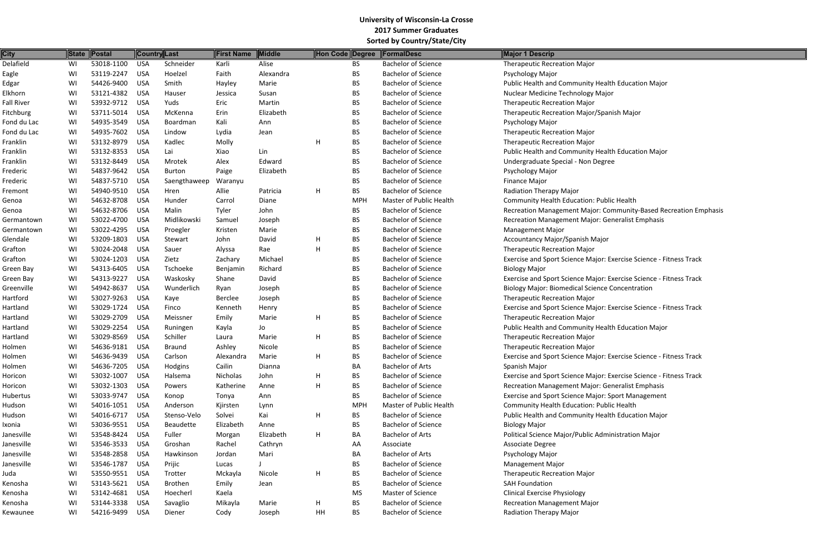| <b>City</b>       | <b>State</b> | Postal     |            | <b>Country Last</b> | First Name | Middle    | Hon Code Degree |            | FormalDesc                     | Major 1 Descrip                                         |
|-------------------|--------------|------------|------------|---------------------|------------|-----------|-----------------|------------|--------------------------------|---------------------------------------------------------|
| Delafield         | WI           | 53018-1100 | <b>USA</b> | Schneider           | Karli      | Alise     |                 | <b>BS</b>  | <b>Bachelor of Science</b>     | <b>Therapeutic Recreation Major</b>                     |
| Eagle             | WI           | 53119-2247 | <b>USA</b> | Hoelzel             | Faith      | Alexandra |                 | <b>BS</b>  | <b>Bachelor of Science</b>     | Psychology Major                                        |
| Edgar             | WI           | 54426-9400 | <b>USA</b> | Smith               | Hayley     | Marie     |                 | <b>BS</b>  | <b>Bachelor of Science</b>     | Public Health and Community Health Education Major      |
| Elkhorn           | WI           | 53121-4382 | <b>USA</b> | Hauser              | Jessica    | Susan     |                 | <b>BS</b>  | <b>Bachelor of Science</b>     | Nuclear Medicine Technology Major                       |
| <b>Fall River</b> | WI           | 53932-9712 | <b>USA</b> | Yuds                | Eric       | Martin    |                 | <b>BS</b>  | <b>Bachelor of Science</b>     | <b>Therapeutic Recreation Major</b>                     |
| Fitchburg         | WI           | 53711-5014 | <b>USA</b> | McKenna             | Erin       | Elizabeth |                 | <b>BS</b>  | <b>Bachelor of Science</b>     | Therapeutic Recreation Major/Spanish Major              |
| Fond du Lac       | WI           | 54935-3549 | <b>USA</b> | Boardman            | Kali       | Ann       |                 | <b>BS</b>  | <b>Bachelor of Science</b>     | Psychology Major                                        |
| Fond du Lac       | WI           | 54935-7602 | <b>USA</b> | Lindow              | Lydia      | Jean      |                 | <b>BS</b>  | <b>Bachelor of Science</b>     | <b>Therapeutic Recreation Major</b>                     |
| Franklin          | WI           | 53132-8979 | <b>USA</b> | Kadlec              | Molly      |           | H               | <b>BS</b>  | <b>Bachelor of Science</b>     | <b>Therapeutic Recreation Major</b>                     |
| Franklin          | WI           | 53132-8353 | <b>USA</b> | Lai                 | Xiao       | Lin       |                 | <b>BS</b>  | <b>Bachelor of Science</b>     | Public Health and Community Health Education Major      |
| Franklin          | WI           | 53132-8449 | <b>USA</b> | Mrotek              | Alex       | Edward    |                 | <b>BS</b>  | <b>Bachelor of Science</b>     | Undergraduate Special - Non Degree                      |
| Frederic          | WI           | 54837-9642 | <b>USA</b> | <b>Burton</b>       | Paige      | Elizabeth |                 | <b>BS</b>  | <b>Bachelor of Science</b>     | Psychology Major                                        |
| Frederic          | WI           | 54837-5710 | <b>USA</b> | Saengthaweep        | Waranyu    |           |                 | <b>BS</b>  | <b>Bachelor of Science</b>     | <b>Finance Major</b>                                    |
| Fremont           | WI           | 54940-9510 | <b>USA</b> | Hren                | Allie      | Patricia  | H               | <b>BS</b>  | <b>Bachelor of Science</b>     | <b>Radiation Therapy Major</b>                          |
| Genoa             | WI           | 54632-8708 | <b>USA</b> | Hunder              | Carrol     | Diane     |                 | <b>MPH</b> | <b>Master of Public Health</b> | <b>Community Health Education: Public Health</b>        |
| Genoa             | WI           | 54632-8706 | <b>USA</b> | Malin               | Tyler      | John      |                 | <b>BS</b>  | <b>Bachelor of Science</b>     | Recreation Management Major: Community-Based Re         |
| Germantown        | WI           | 53022-4700 | <b>USA</b> | Midlikowski         | Samuel     | Joseph    |                 | <b>BS</b>  | <b>Bachelor of Science</b>     | Recreation Management Major: Generalist Emphasis        |
| Germantown        | WI           | 53022-4295 | <b>USA</b> | Proegler            | Kristen    | Marie     |                 | <b>BS</b>  | <b>Bachelor of Science</b>     | <b>Management Major</b>                                 |
| Glendale          | WI           | 53209-1803 | <b>USA</b> | Stewart             | John       | David     | H               | <b>BS</b>  | <b>Bachelor of Science</b>     | Accountancy Major/Spanish Major                         |
| Grafton           | WI           | 53024-2048 | <b>USA</b> | Sauer               | Alyssa     | Rae       | Н               | <b>BS</b>  | <b>Bachelor of Science</b>     | <b>Therapeutic Recreation Major</b>                     |
| Grafton           | WI           | 53024-1203 | <b>USA</b> | Zietz               | Zachary    | Michael   |                 | <b>BS</b>  | <b>Bachelor of Science</b>     | Exercise and Sport Science Major: Exercise Science - Fi |
| Green Bay         | WI           | 54313-6405 | <b>USA</b> | Tschoeke            | Benjamin   | Richard   |                 | <b>BS</b>  | <b>Bachelor of Science</b>     | <b>Biology Major</b>                                    |
| Green Bay         | WI           | 54313-9227 | <b>USA</b> | Waskosky            | Shane      | David     |                 | <b>BS</b>  | <b>Bachelor of Science</b>     | Exercise and Sport Science Major: Exercise Science - Fi |
| Greenville        | WI           | 54942-8637 | <b>USA</b> | Wunderlich          | Ryan       | Joseph    |                 | <b>BS</b>  | <b>Bachelor of Science</b>     | <b>Biology Major: Biomedical Science Concentration</b>  |
| Hartford          | WI           | 53027-9263 | <b>USA</b> | Kaye                | Berclee    | Joseph    |                 | <b>BS</b>  | <b>Bachelor of Science</b>     | <b>Therapeutic Recreation Major</b>                     |
| Hartland          | WI           | 53029-1724 | <b>USA</b> | Finco               | Kenneth    | Henry     |                 | <b>BS</b>  | <b>Bachelor of Science</b>     | Exercise and Sport Science Major: Exercise Science - Fi |
| Hartland          | WI           | 53029-2709 | <b>USA</b> | Meissner            | Emily      | Marie     | H               | <b>BS</b>  | <b>Bachelor of Science</b>     | <b>Therapeutic Recreation Major</b>                     |
| Hartland          | WI           | 53029-2254 | <b>USA</b> | Runingen            | Kayla      | Jo        |                 | <b>BS</b>  | <b>Bachelor of Science</b>     | Public Health and Community Health Education Major      |
| Hartland          | WI           | 53029-8569 | <b>USA</b> | Schiller            | Laura      | Marie     | н               | <b>BS</b>  | <b>Bachelor of Science</b>     | <b>Therapeutic Recreation Major</b>                     |
| Holmen            | WI           | 54636-9181 | <b>USA</b> | <b>Braund</b>       | Ashley     | Nicole    |                 | <b>BS</b>  | <b>Bachelor of Science</b>     | <b>Therapeutic Recreation Major</b>                     |
| Holmen            | WI           | 54636-9439 | <b>USA</b> | Carlson             | Alexandra  | Marie     | H               | <b>BS</b>  | <b>Bachelor of Science</b>     | Exercise and Sport Science Major: Exercise Science - Fi |
| Holmen            | WI           | 54636-7205 | <b>USA</b> | Hodgins             | Cailin     | Dianna    |                 | BA         | <b>Bachelor of Arts</b>        | Spanish Major                                           |
| Horicon           | WI           | 53032-1007 | <b>USA</b> | Halsema             | Nicholas   | John      | H               | <b>BS</b>  | <b>Bachelor of Science</b>     | Exercise and Sport Science Major: Exercise Science - Fi |
| Horicon           | WI           | 53032-1303 | <b>USA</b> | Powers              | Katherine  | Anne      | H               | <b>BS</b>  | <b>Bachelor of Science</b>     | Recreation Management Major: Generalist Emphasis        |
| <b>Hubertus</b>   | WI           | 53033-9747 | <b>USA</b> | Konop               | Tonya      | Ann       |                 | <b>BS</b>  | <b>Bachelor of Science</b>     | Exercise and Sport Science Major: Sport Management      |
| Hudson            | WI           | 54016-1051 | <b>USA</b> | Anderson            | Kjirsten   | Lynn      |                 | <b>MPH</b> | Master of Public Health        | Community Health Education: Public Health               |
| Hudson            | WI           | 54016-6717 | <b>USA</b> | Stenso-Velo         | Solvei     | Kai       | H               | <b>BS</b>  | <b>Bachelor of Science</b>     | Public Health and Community Health Education Major      |
| Ixonia            | WI           | 53036-9551 | <b>USA</b> | Beaudette           | Elizabeth  | Anne      |                 | <b>BS</b>  | <b>Bachelor of Science</b>     | <b>Biology Major</b>                                    |
| Janesville        | WI           | 53548-8424 | <b>USA</b> | Fuller              | Morgan     | Elizabeth | H               | BA         | <b>Bachelor of Arts</b>        | Political Science Major/Public Administration Major     |
| Janesville        | WI           | 53546-3533 | <b>USA</b> | Groshan             | Rachel     | Cathryn   |                 | AA         | Associate                      | Associate Degree                                        |
| Janesville        | WI           | 53548-2858 | <b>USA</b> | Hawkinson           | Jordan     | Mari      |                 | BA         | <b>Bachelor of Arts</b>        | Psychology Major                                        |
| Janesville        | WI           | 53546-1787 | <b>USA</b> | Prijic              | Lucas      |           |                 | BS.        | <b>Bachelor of Science</b>     | Management Major                                        |
| Juda              | WI           | 53550-9551 | <b>USA</b> | Trotter             | Mckayla    | Nicole    | H               | BS         | <b>Bachelor of Science</b>     | <b>Therapeutic Recreation Major</b>                     |
| Kenosha           | WI           | 53143-5621 | <b>USA</b> | Brothen             | Emily      | Jean      |                 | <b>BS</b>  | <b>Bachelor of Science</b>     | <b>SAH Foundation</b>                                   |
| Kenosha           | WI           | 53142-4681 | <b>USA</b> | Hoecherl            | Kaela      |           |                 | <b>MS</b>  | Master of Science              | <b>Clinical Exercise Physiology</b>                     |
| Kenosha           | WI           | 53144-3338 | USA        | Savaglio            | Mikayla    | Marie     | H               | <b>BS</b>  | <b>Bachelor of Science</b>     | <b>Recreation Management Major</b>                      |
| Kewaunee          | WI           | 54216-9499 | <b>USA</b> | Diener              | Cody       | Joseph    | HH              | <b>BS</b>  | <b>Bachelor of Science</b>     | Radiation Therapy Major                                 |
|                   |              |            |            |                     |            |           |                 |            |                                |                                                         |

ommunity-Based Recreation Emphasis

Exercise Science - Fitness Track

Exercise Science - Fitness Track

Exercise Science - Fitness Track

Exercise Science - Fitness Track

Exercise Science - Fitness Track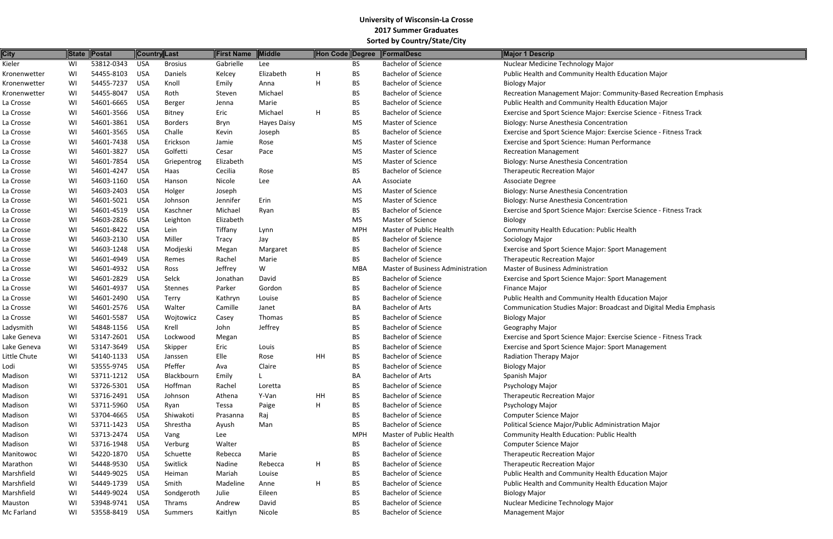| <b>City</b>  | State | $\ $ Postal |            | Country Last   | <b>First Name</b> | Middle             | Hon Code Degree |            | <b>FormalDesc</b>                 | <b>Major 1 Descrip</b>                                    |
|--------------|-------|-------------|------------|----------------|-------------------|--------------------|-----------------|------------|-----------------------------------|-----------------------------------------------------------|
| Kieler       | WI    | 53812-0343  | <b>USA</b> | <b>Brosius</b> | Gabrielle         | Lee                |                 | <b>BS</b>  | <b>Bachelor of Science</b>        | Nuclear Medicine Technology Major                         |
| Kronenwetter | WI    | 54455-8103  | <b>USA</b> | Daniels        | Kelcey            | Elizabeth          | H               | <b>BS</b>  | <b>Bachelor of Science</b>        | Public Health and Community Health Education Major        |
| Kronenwetter | WI    | 54455-7237  | <b>USA</b> | Knoll          | Emily             | Anna               | H               | BS         | <b>Bachelor of Science</b>        | <b>Biology Major</b>                                      |
| Kronenwetter | WI    | 54455-8047  | <b>USA</b> | Roth           | Steven            | Michael            |                 | BS         | <b>Bachelor of Science</b>        | Recreation Management Major: Community-Based Re           |
| La Crosse    | WI    | 54601-6665  | <b>USA</b> | Berger         | Jenna             | Marie              |                 | <b>BS</b>  | <b>Bachelor of Science</b>        | Public Health and Community Health Education Major        |
| La Crosse    | WI    | 54601-3566  | <b>USA</b> | Bitney         | Eric              | Michael            | H               | <b>BS</b>  | <b>Bachelor of Science</b>        | Exercise and Sport Science Major: Exercise Science - Fi   |
| La Crosse    | WI    | 54601-3861  | <b>USA</b> | <b>Borders</b> | Bryn              | <b>Hayes Daisy</b> |                 | <b>MS</b>  | <b>Master of Science</b>          | Biology: Nurse Anesthesia Concentration                   |
| La Crosse    | WI    | 54601-3565  | <b>USA</b> | Challe         | Kevin             | Joseph             |                 | <b>BS</b>  | <b>Bachelor of Science</b>        | Exercise and Sport Science Major: Exercise Science - Fi   |
| La Crosse    | WI    | 54601-7438  | <b>USA</b> | Erickson       | Jamie             | Rose               |                 | <b>MS</b>  | <b>Master of Science</b>          | Exercise and Sport Science: Human Performance             |
| La Crosse    | WI    | 54601-3827  | <b>USA</b> | Golfetti       | Cesar             | Pace               |                 | <b>MS</b>  | <b>Master of Science</b>          | <b>Recreation Management</b>                              |
| La Crosse    | WI    | 54601-7854  | <b>USA</b> | Griepentrog    | Elizabeth         |                    |                 | <b>MS</b>  | <b>Master of Science</b>          | Biology: Nurse Anesthesia Concentration                   |
| La Crosse    | WI    | 54601-4247  | <b>USA</b> | Haas           | Cecilia           | Rose               |                 | BS         | <b>Bachelor of Science</b>        | <b>Therapeutic Recreation Major</b>                       |
| La Crosse    | WI    | 54603-1160  | <b>USA</b> | Hanson         | Nicole            | Lee                |                 | AA         | Associate                         | Associate Degree                                          |
|              | WI    | 54603-2403  | <b>USA</b> |                |                   |                    |                 | <b>MS</b>  | <b>Master of Science</b>          |                                                           |
| La Crosse    |       |             |            | Holger         | Joseph            |                    |                 |            |                                   | Biology: Nurse Anesthesia Concentration                   |
| La Crosse    | WI    | 54601-5021  | <b>USA</b> | Johnson        | Jennifer          | Erin               |                 | <b>MS</b>  | <b>Master of Science</b>          | Biology: Nurse Anesthesia Concentration                   |
| La Crosse    | WI    | 54601-4519  | <b>USA</b> | Kaschner       | Michael           | Ryan               |                 | BS         | <b>Bachelor of Science</b>        | Exercise and Sport Science Major: Exercise Science - Fi   |
| La Crosse    | WI    | 54603-2826  | <b>USA</b> | Leighton       | Elizabeth         |                    |                 | <b>MS</b>  | Master of Science                 | Biology                                                   |
| La Crosse    | WI    | 54601-8422  | <b>USA</b> | Lein           | Tiffany           | Lynn               |                 | <b>MPH</b> | <b>Master of Public Health</b>    | Community Health Education: Public Health                 |
| La Crosse    | WI    | 54603-2130  | <b>USA</b> | Miller         | Tracy             | Jay                |                 | BS         | <b>Bachelor of Science</b>        | Sociology Major                                           |
| La Crosse    | WI    | 54603-1248  | <b>USA</b> | Modjeski       | Megan             | Margaret           |                 | BS         | <b>Bachelor of Science</b>        | Exercise and Sport Science Major: Sport Management        |
| La Crosse    | WI    | 54601-4949  | <b>USA</b> | Remes          | Rachel            | Marie              |                 | <b>BS</b>  | <b>Bachelor of Science</b>        | <b>Therapeutic Recreation Major</b>                       |
| La Crosse    | WI    | 54601-4932  | <b>USA</b> | Ross           | Jeffrey           | W                  |                 | <b>MBA</b> | Master of Business Administration | <b>Master of Business Administration</b>                  |
| La Crosse    | WI    | 54601-2829  | <b>USA</b> | Selck          | Jonathan          | David              |                 | BS         | <b>Bachelor of Science</b>        | <b>Exercise and Sport Science Major: Sport Management</b> |
| La Crosse    | WI    | 54601-4937  | <b>USA</b> | Stennes        | Parker            | Gordon             |                 | BS         | <b>Bachelor of Science</b>        | <b>Finance Major</b>                                      |
| La Crosse    | WI    | 54601-2490  | <b>USA</b> | Terry          | Kathryn           | Louise             |                 | <b>BS</b>  | <b>Bachelor of Science</b>        | Public Health and Community Health Education Major        |
| La Crosse    | WI    | 54601-2576  | <b>USA</b> | Walter         | Camille           | Janet              |                 | BA         | <b>Bachelor of Arts</b>           | Communication Studies Major: Broadcast and Digital I      |
| La Crosse    | WI    | 54601-5587  | <b>USA</b> | Wojtowicz      | Casey             | Thomas             |                 | BS         | <b>Bachelor of Science</b>        | <b>Biology Major</b>                                      |
| Ladysmith    | WI    | 54848-1156  | <b>USA</b> | Krell          | John              | Jeffrey            |                 | BS         | <b>Bachelor of Science</b>        | Geography Major                                           |
| Lake Geneva  | WI    | 53147-2601  | <b>USA</b> | Lockwood       | Megan             |                    |                 | <b>BS</b>  | <b>Bachelor of Science</b>        | Exercise and Sport Science Major: Exercise Science - Fi   |
| Lake Geneva  | WI    | 53147-3649  | <b>USA</b> | Skipper        | Eric              | Louis              |                 | BS         | <b>Bachelor of Science</b>        | Exercise and Sport Science Major: Sport Management        |
| Little Chute | WI    | 54140-1133  | <b>USA</b> | Janssen        | Elle              | Rose               | HH              | BS         | <b>Bachelor of Science</b>        | Radiation Therapy Major                                   |
| Lodi         | WI    | 53555-9745  | <b>USA</b> | Pfeffer        | Ava               | Claire             |                 | BS         | <b>Bachelor of Science</b>        | <b>Biology Major</b>                                      |
| Madison      | WI    | 53711-1212  | <b>USA</b> | Blackbourn     | Emily             |                    |                 | BA         | <b>Bachelor of Arts</b>           | Spanish Major                                             |
| Madison      | WI    | 53726-5301  | <b>USA</b> | Hoffman        | Rachel            | Loretta            |                 | BS         | <b>Bachelor of Science</b>        | Psychology Major                                          |
| Madison      | WI    | 53716-2491  | <b>USA</b> | Johnson        | Athena            | Y-Van              | HH              | BS         | <b>Bachelor of Science</b>        | <b>Therapeutic Recreation Major</b>                       |
| Madison      | WI    | 53711-5960  | <b>USA</b> | Ryan           | Tessa             | Paige              | H               | <b>BS</b>  | <b>Bachelor of Science</b>        | Psychology Major                                          |
| Madison      | WI    | 53704-4665  | <b>USA</b> | Shiwakoti      | Prasanna          | Raj                |                 | BS         | <b>Bachelor of Science</b>        | <b>Computer Science Major</b>                             |
| Madison      | WI    | 53711-1423  | <b>USA</b> | Shrestha       | Ayush             | Man                |                 | <b>BS</b>  | <b>Bachelor of Science</b>        | Political Science Major/Public Administration Major       |
| Madison      | WI    | 53713-2474  | <b>USA</b> | Vang           | Lee               |                    |                 | <b>MPH</b> | Master of Public Health           | Community Health Education: Public Health                 |
| Madison      | WI    | 53716-1948  | <b>USA</b> | Verburg        | Walter            |                    |                 | BS         | <b>Bachelor of Science</b>        | <b>Computer Science Major</b>                             |
| Manitowoc    | WI    | 54220-1870  | <b>USA</b> | Schuette       | Rebecca           | Marie              |                 | BS         | <b>Bachelor of Science</b>        | <b>Therapeutic Recreation Major</b>                       |
| Marathon     | WI    | 54448-9530  | <b>USA</b> | Switlick       | Nadine            | Rebecca            | H               | BS         | <b>Bachelor of Science</b>        | <b>Therapeutic Recreation Major</b>                       |
| Marshfield   | WI    | 54449-9025  | <b>USA</b> | Heiman         | Mariah            | Louise             |                 | <b>BS</b>  | <b>Bachelor of Science</b>        | Public Health and Community Health Education Major        |
| Marshfield   | WI    | 54449-1739  | <b>USA</b> | Smith          | Madeline          | Anne               | H               | BS         | <b>Bachelor of Science</b>        | Public Health and Community Health Education Major        |
| Marshfield   | WI    | 54449-9024  | <b>USA</b> | Sondgeroth     | Julie             | Eileen             |                 | BS         | <b>Bachelor of Science</b>        | <b>Biology Major</b>                                      |
| Mauston      | WI    | 53948-9741  | <b>USA</b> | Thrams         | Andrew            | David              |                 | BS         | <b>Bachelor of Science</b>        | Nuclear Medicine Technology Major                         |
| Mc Farland   | WI    | 53558-8419  | <b>USA</b> | <b>Summers</b> | Kaitlyn           | Nicole             |                 | BS         | <b>Bachelor of Science</b>        | <b>Management Major</b>                                   |
|              |       |             |            |                |                   |                    |                 |            |                                   |                                                           |

**I** Sura Exerention Supphasis Bachelor Community-Based Recreation Emphasis Exercise Science - Fitness Track

Exercise Science - Fitness Track

Exercise Science - Fitness Track

adcast and Digital Media Emphasis

Exercise Science - Fitness Track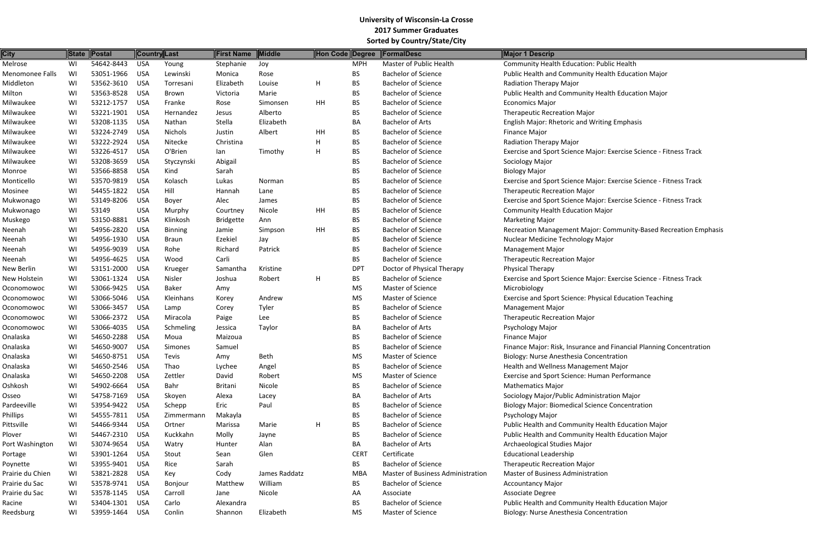| <b>City</b>      | <b>State</b> | <b>Postal</b> | <b>Country Last</b> |                | First Name       | Middle        | Hon Code Degree |             | <b>FormalDesc</b>                 | Major 1 Descrip                                           |
|------------------|--------------|---------------|---------------------|----------------|------------------|---------------|-----------------|-------------|-----------------------------------|-----------------------------------------------------------|
| Melrose          | WI           | 54642-8443    | <b>USA</b>          | Young          | Stephanie        | Joy           |                 | <b>MPH</b>  | Master of Public Health           | <b>Community Health Education: Public Health</b>          |
| Menomonee Falls  | WI           | 53051-1966    | <b>USA</b>          | Lewinski       | Monica           | Rose          |                 | BS          | <b>Bachelor of Science</b>        | Public Health and Community Health Education Major        |
| Middleton        | WI           | 53562-3610    | <b>USA</b>          | Torresani      | Elizabeth        | Louise        | H               | <b>BS</b>   | <b>Bachelor of Science</b>        | <b>Radiation Therapy Major</b>                            |
| Milton           | WI           | 53563-8528    | <b>USA</b>          | Brown          | Victoria         | Marie         |                 | <b>BS</b>   | <b>Bachelor of Science</b>        | Public Health and Community Health Education Major        |
| Milwaukee        | WI           | 53212-1757    | <b>USA</b>          | Franke         | Rose             | Simonsen      | HH              | <b>BS</b>   | <b>Bachelor of Science</b>        | <b>Economics Major</b>                                    |
| Milwaukee        | WI           | 53221-1901    | <b>USA</b>          | Hernandez      | Jesus            | Alberto       |                 | <b>BS</b>   | <b>Bachelor of Science</b>        | <b>Therapeutic Recreation Major</b>                       |
| Milwaukee        | WI           | 53208-1135    | <b>USA</b>          | Nathan         | Stella           | Elizabeth     |                 | BA          | <b>Bachelor of Arts</b>           | <b>English Major: Rhetoric and Writing Emphasis</b>       |
| Milwaukee        | WI           | 53224-2749    | <b>USA</b>          | Nichols        | Justin           | Albert        | HH              | <b>BS</b>   | <b>Bachelor of Science</b>        | <b>Finance Major</b>                                      |
| Milwaukee        | WI           | 53222-2924    | <b>USA</b>          | Nitecke        | Christina        |               | H               | <b>BS</b>   | <b>Bachelor of Science</b>        | <b>Radiation Therapy Major</b>                            |
| Milwaukee        | WI           | 53226-4517    | <b>USA</b>          | O'Brien        | lan              | Timothy       | H               | <b>BS</b>   | <b>Bachelor of Science</b>        | Exercise and Sport Science Major: Exercise Science - Fitr |
| Milwaukee        | WI           | 53208-3659    | <b>USA</b>          | Styczynski     | Abigail          |               |                 | <b>BS</b>   | <b>Bachelor of Science</b>        | Sociology Major                                           |
| Monroe           | WI           | 53566-8858    | <b>USA</b>          | Kind           | Sarah            |               |                 | <b>BS</b>   | <b>Bachelor of Science</b>        | <b>Biology Major</b>                                      |
| Monticello       | WI           | 53570-9819    | <b>USA</b>          | Kolasch        | Lukas            | Norman        |                 | <b>BS</b>   | <b>Bachelor of Science</b>        | Exercise and Sport Science Major: Exercise Science - Fitr |
| Mosinee          | WI           | 54455-1822    | <b>USA</b>          | Hill           | Hannah           | Lane          |                 | <b>BS</b>   | <b>Bachelor of Science</b>        | <b>Therapeutic Recreation Major</b>                       |
| Mukwonago        | WI           | 53149-8206    | <b>USA</b>          | Boyer          | Alec             | James         |                 | <b>BS</b>   | <b>Bachelor of Science</b>        | Exercise and Sport Science Major: Exercise Science - Fitr |
| Mukwonago        | WI           | 53149         | <b>USA</b>          | Murphy         | Courtney         | Nicole        | HH              | <b>BS</b>   | <b>Bachelor of Science</b>        | <b>Community Health Education Major</b>                   |
| Muskego          | WI           | 53150-8881    | <b>USA</b>          | Klinkosh       | <b>Bridgette</b> | Ann           |                 | <b>BS</b>   | <b>Bachelor of Science</b>        | <b>Marketing Major</b>                                    |
| Neenah           | WI           | 54956-2820    | <b>USA</b>          | <b>Binning</b> | Jamie            | Simpson       | HH              | <b>BS</b>   | <b>Bachelor of Science</b>        | Recreation Management Major: Community-Based Reci         |
| Neenah           | WI           | 54956-1930    | <b>USA</b>          | <b>Braun</b>   | Ezekiel          | Jay           |                 | <b>BS</b>   | <b>Bachelor of Science</b>        | Nuclear Medicine Technology Major                         |
| Neenah           | WI           | 54956-9039    | <b>USA</b>          | Rohe           | Richard          | Patrick       |                 | <b>BS</b>   | <b>Bachelor of Science</b>        | <b>Management Major</b>                                   |
| Neenah           | WI           | 54956-4625    | <b>USA</b>          | Wood           | Carli            |               |                 | <b>BS</b>   | <b>Bachelor of Science</b>        | <b>Therapeutic Recreation Major</b>                       |
| New Berlin       | WI           | 53151-2000    | <b>USA</b>          | Krueger        | Samantha         | Kristine      |                 | <b>DPT</b>  | Doctor of Physical Therapy        | Physical Therapy                                          |
| New Holstein     | WI           | 53061-1324    | <b>USA</b>          | Nisler         | Joshua           | Robert        | H               | <b>BS</b>   | <b>Bachelor of Science</b>        | Exercise and Sport Science Major: Exercise Science - Fitr |
| Oconomowoc       | WI           | 53066-9425    | <b>USA</b>          | Baker          | Amy              |               |                 | <b>MS</b>   | <b>Master of Science</b>          | Microbiology                                              |
| Oconomowoc       | WI           | 53066-5046    | <b>USA</b>          | Kleinhans      | Korey            | Andrew        |                 | <b>MS</b>   | <b>Master of Science</b>          | Exercise and Sport Science: Physical Education Teaching   |
| Oconomowoc       | WI           | 53066-3457    | <b>USA</b>          | Lamp           | Corey            | Tyler         |                 | <b>BS</b>   | <b>Bachelor of Science</b>        | <b>Management Major</b>                                   |
| Oconomowoc       | WI           | 53066-2372    | <b>USA</b>          | Miracola       | Paige            | Lee           |                 | <b>BS</b>   | <b>Bachelor of Science</b>        | <b>Therapeutic Recreation Major</b>                       |
| Oconomowoc       | WI           | 53066-4035    | <b>USA</b>          | Schmeling      | Jessica          | Taylor        |                 | BA          | <b>Bachelor of Arts</b>           | Psychology Major                                          |
| Onalaska         | WI           | 54650-2288    | <b>USA</b>          | Moua           | Maizoua          |               |                 | <b>BS</b>   | <b>Bachelor of Science</b>        | Finance Major                                             |
| Onalaska         | WI           | 54650-9007    | <b>USA</b>          | Simones        | Samuel           |               |                 | <b>BS</b>   | <b>Bachelor of Science</b>        | Finance Major: Risk, Insurance and Financial Planning Co  |
| Onalaska         | WI           | 54650-8751    | <b>USA</b>          | Tevis          | Amy              | <b>Beth</b>   |                 | <b>MS</b>   | Master of Science                 | Biology: Nurse Anesthesia Concentration                   |
| Onalaska         | WI           | 54650-2546    | <b>USA</b>          | Thao           | Lychee           | Angel         |                 | <b>BS</b>   | <b>Bachelor of Science</b>        | Health and Wellness Management Major                      |
| Onalaska         | WI           | 54650-2208    | <b>USA</b>          | Zettler        | David            | Robert        |                 | <b>MS</b>   | <b>Master of Science</b>          | Exercise and Sport Science: Human Performance             |
| Oshkosh          | WI           | 54902-6664    | <b>USA</b>          | Bahr           | <b>Britani</b>   | Nicole        |                 | <b>BS</b>   | <b>Bachelor of Science</b>        | <b>Mathematics Major</b>                                  |
| Osseo            | WI           | 54758-7169    | <b>USA</b>          | Skoyen         | Alexa            | Lacey         |                 | BA          | <b>Bachelor of Arts</b>           | Sociology Major/Public Administration Major               |
| Pardeeville      | WI           | 53954-9422    | <b>USA</b>          | Schepp         | Eric             | Paul          |                 | <b>BS</b>   | <b>Bachelor of Science</b>        | <b>Biology Major: Biomedical Science Concentration</b>    |
| Phillips         | WI           | 54555-7811    | <b>USA</b>          | Zimmermann     | Makayla          |               |                 | <b>BS</b>   | <b>Bachelor of Science</b>        | Psychology Major                                          |
| Pittsville       | WI           | 54466-9344    | <b>USA</b>          | Ortner         | Marissa          | Marie         | H               | <b>BS</b>   | <b>Bachelor of Science</b>        | Public Health and Community Health Education Major        |
| Plover           | WI           | 54467-2310    | <b>USA</b>          | Kuckkahn       | Molly            | Jayne         |                 | <b>BS</b>   | <b>Bachelor of Science</b>        | Public Health and Community Health Education Major        |
| Port Washington  | WI           | 53074-9654    | <b>USA</b>          | Watry          | Hunter           | Alan          |                 | BA          | <b>Bachelor of Arts</b>           | Archaeological Studies Major                              |
| Portage          | WI           | 53901-1264    | <b>USA</b>          | Stout          | Sean             | Glen          |                 | <b>CERT</b> | Certificate                       | <b>Educational Leadership</b>                             |
| Poynette         | WI           | 53955-9401    | <b>USA</b>          | Rice           | Sarah            |               |                 | <b>BS</b>   | <b>Bachelor of Science</b>        | <b>Therapeutic Recreation Major</b>                       |
| Prairie du Chien | WI           | 53821-2828    | <b>USA</b>          | Key            | Cody             | James Raddatz |                 | <b>MBA</b>  | Master of Business Administration | Master of Business Administration                         |
| Prairie du Sac   | WI           | 53578-9741    | <b>USA</b>          | Bonjour        | Matthew          | William       |                 | <b>BS</b>   | <b>Bachelor of Science</b>        | <b>Accountancy Major</b>                                  |
| Prairie du Sac   | WI           | 53578-1145    | <b>USA</b>          | Carroll        | Jane             | Nicole        |                 | AA          | Associate                         | Associate Degree                                          |
| Racine           | WI           | 53404-1301    | <b>USA</b>          | Carlo          | Alexandra        |               |                 | <b>BS</b>   | <b>Bachelor of Science</b>        | Public Health and Community Health Education Major        |
| Reedsburg        | WI           | 53959-1464    | <b>USA</b>          | Conlin         | Shannon          | Elizabeth     |                 | <b>MS</b>   | Master of Science                 | Biology: Nurse Anesthesia Concentration                   |
|                  |              |               |                     |                |                  |               |                 |             |                                   |                                                           |

Exercise Science - Fitness Track

Exercise Science - Fitness Track

Exercise Science - Fitness Track

**I** aminity-Based Recreation Emphasis

Exercise Science - Fitness Track

Financial Planning Concentration